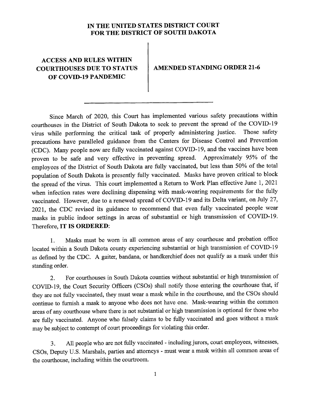## IN THE UNITED STATES DISTRICT COURT FOR THE DISTRICT OF SOUTH DAKOTA

## ACCESS AND RULES WITHIN COURTHOUSES DUE TO STATUS OF COVID-19 PANDEMIC

AMENDED STANDING ORDER 21-6

Since March of 2020, this Court has implemented various safety precautions within courthouses in the District of South Dakota to seek to prevent the spread of the COVID-19 virus while performing the critical task of properly administering justice. Those safety precautions have paralleled guidance from the Centers for Disease Control and Prevention (CDC). Many people now are fully vaccinated against COVID-19, and the vaccines have been proven to be safe and very effective in preventing spread. Approximately 95% of the employees of the District of South Dakota are fully vaccinated, but less than 50% of the total population of South Dakota is presently fully vaccinated. Masks have proven critical to block the spread of the virus. This court implemented a Return to Work Plan effective June 1, 2021 when infection rates were declining dispensing with mask-wearing requirements for the fully vaccinated. However, due to a renewed spread of COVID-19 and its Delta variant, on July 27, 2021, the CDC revised its guidance to recommend that even fully vaccinated people wear masks in public indoor settings in areas of substantial or high transmission of COVID-19. Therefore, IT IS ORDERED:

1. Masks must be wom in all common areas of any courthouse and probation office located within a South Dakota county experiencing substantial or high transmission of COVID-19 as defined by the CDC. A gaiter, bandana, or handkerchief does not qualify as a mask under this standing order.

2. For courthouses in South Dakota counties without substantial or high transmission of COVID-19, the Court Security Officers (CSOs) shall notify those entering the courthouse that, if they are not fully vaccinated, they must wear a mask while in the courthouse, and the CSOs should continue to fumish a mask to anyone who does not have one. Mask-wearing within the common areas of any courthouse where there is not substantial or high transmission is optional for those who are fully vaccinated. Anyone who falsely claims to be fully vaccinated and goes without a mask may be subject to contempt of court proceedings for violating this order.

3. All people who are not fully vaccinated - including jurors, court employees, witnesses, CSOs, Deputy U.S. Marshals, parties and attomeys - must wear a mask within all common areas of the courthouse, including within the courtroom.